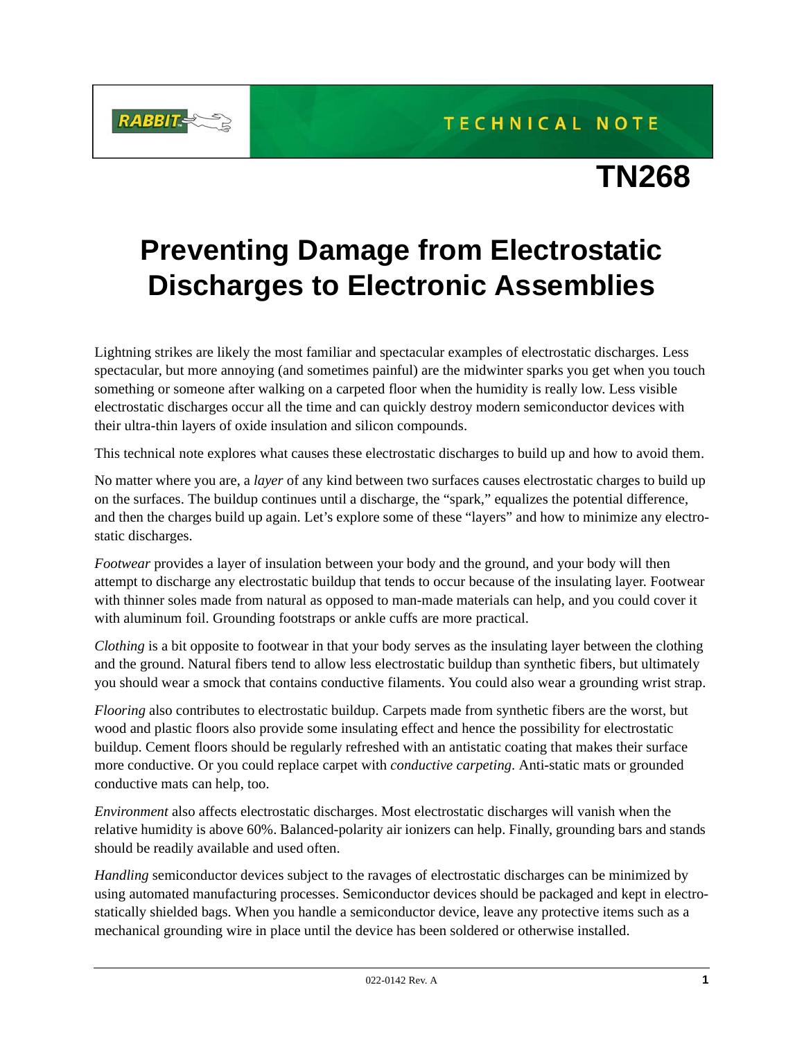**TECHNICAL NOTE** 



## **TN268**

## **Preventing Damage from Electrostatic Discharges to Electronic Assemblies**

Lightning strikes are likely the most familiar and spectacular examples of electrostatic discharges. Less spectacular, but more annoying (and sometimes painful) are the midwinter sparks you get when you touch something or someone after walking on a carpeted floor when the humidity is really low. Less visible electrostatic discharges occur all the time and can quickly destroy modern semiconductor devices with their ultra-thin layers of oxide insulation and silicon compounds.

This technical note explores what causes these electrostatic discharges to build up and how to avoid them.

No matter where you are, a *layer* of any kind between two surfaces causes electrostatic charges to build up on the surfaces. The buildup continues until a discharge, the "spark," equalizes the potential difference, and then the charges build up again. Let's explore some of these "layers" and how to minimize any electrostatic discharges.

*Footwear* provides a layer of insulation between your body and the ground, and your body will then attempt to discharge any electrostatic buildup that tends to occur because of the insulating layer. Footwear with thinner soles made from natural as opposed to man-made materials can help, and you could cover it with aluminum foil. Grounding footstraps or ankle cuffs are more practical.

*Clothing* is a bit opposite to footwear in that your body serves as the insulating layer between the clothing and the ground. Natural fibers tend to allow less electrostatic buildup than synthetic fibers, but ultimately you should wear a smock that contains conductive filaments. You could also wear a grounding wrist strap.

*Flooring* also contributes to electrostatic buildup. Carpets made from synthetic fibers are the worst, but wood and plastic floors also provide some insulating effect and hence the possibility for electrostatic buildup. Cement floors should be regularly refreshed with an antistatic coating that makes their surface more conductive. Or you could replace carpet with *conductive carpeting*. Anti-static mats or grounded conductive mats can help, too.

*Environment* also affects electrostatic discharges. Most electrostatic discharges will vanish when the relative humidity is above 60%. Balanced-polarity air ionizers can help. Finally, grounding bars and stands should be readily available and used often.

*Handling* semiconductor devices subject to the ravages of electrostatic discharges can be minimized by using automated manufacturing processes. Semiconductor devices should be packaged and kept in electrostatically shielded bags. When you handle a semiconductor device, leave any protective items such as a mechanical grounding wire in place until the device has been soldered or otherwise installed.